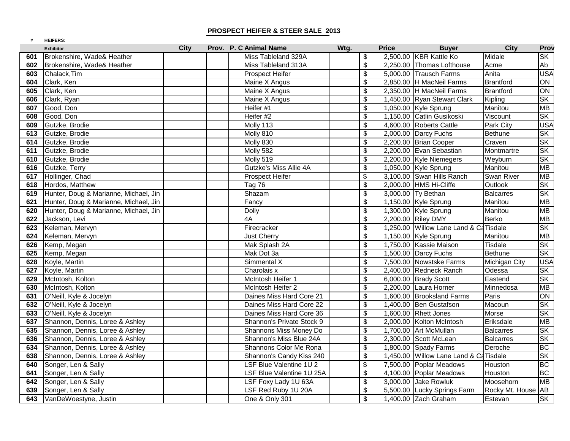## **PROSPECT HEIFER & STEER SALE 2013**

| #   | <b>HEIFERS:</b>                       |             |  |                           |      |                                  |              |                                        |                    |                          |
|-----|---------------------------------------|-------------|--|---------------------------|------|----------------------------------|--------------|----------------------------------------|--------------------|--------------------------|
|     | <b>Exhibitor</b>                      | <b>City</b> |  | Prov. P. C Animal Name    | Wtg. |                                  | <b>Price</b> | <b>Buyer</b>                           | <b>City</b>        | Prov                     |
| 601 | Brokenshire, Wade& Heather            |             |  | Miss Tableland 329A       |      | \$                               |              | 2,500.00 KBR Kattle Ko                 | Midale             | <b>SK</b>                |
| 602 | Brokenshire, Wade& Heather            |             |  | Miss Tableland 313A       |      | $\boldsymbol{\mathsf{S}}$        |              | 2,250.00 Thomas Lofthouse              | Acme               | Ab                       |
| 603 | Chalack, Tim                          |             |  | Prospect Heifer           |      | \$                               |              | 5,000.00 Trausch Farms                 | Anita              | <b>USA</b>               |
| 604 | Clark, Ken                            |             |  | Maine X Angus             |      | \$                               |              | 2,850.00 H MacNeil Farms               | <b>Brantford</b>   | ON                       |
| 605 | Clark, Ken                            |             |  | Maine X Angus             |      | \$                               |              | 2,350.00 H MacNeil Farms               | <b>Brantford</b>   | <b>NO</b>                |
| 606 | Clark, Ryan                           |             |  | Maine X Angus             |      | \$                               |              | 1,450.00 Ryan Stewart Clark            | Kipling            | SK                       |
| 607 | Good, Don                             |             |  | Heifer #1                 |      | \$                               |              | 1,050.00 Kyle Sprung                   | Manitou            | <b>MB</b>                |
| 608 | Good, Don                             |             |  | Heifer #2                 |      | \$                               |              | 1,150.00 Catlin Gusikoski              | Viscount           | $\overline{\mathsf{SK}}$ |
| 609 | Gutzke, Brodie                        |             |  | Molly 113                 |      | \$                               |              | 4,600.00 Roberts Cattle                | Park City          | <b>USA</b>               |
| 613 | Gutzke, Brodie                        |             |  | Molly 810                 |      | \$                               |              | $2,000.00$ Darcy Fuchs                 | <b>Bethune</b>     | <b>SK</b>                |
| 614 | Gutzke, Brodie                        |             |  | Molly 830                 |      | $\overline{\mathcal{S}}$         |              | 2,200.00 Brian Cooper                  | Craven             | $S_{\mathsf{K}}$         |
| 611 | Gutzke, Brodie                        |             |  | Molly 582                 |      | $\boldsymbol{\mathsf{S}}$        |              | 2,200.00 Evan Sebastian                | Montmartre         | SK                       |
| 610 | Gutzke, Brodie                        |             |  | Molly 519                 |      | \$                               |              | 2,200.00 Kyle Niemegers                | Weyburn            | <b>SK</b>                |
| 616 | Gutzke, Terry                         |             |  | Gutzke's Miss Allie 4A    |      | \$                               |              | 1,050.00 Kyle Sprung                   | Manitou            | <b>MB</b>                |
| 617 | Hollinger, Chad                       |             |  | <b>Prospect Heifer</b>    |      | \$                               |              | 3,100.00 Swan Hills Ranch              | Swan River         | <b>MB</b>                |
| 618 | Hordos, Matthew                       |             |  | Tag 76                    |      | $\boldsymbol{\mathsf{S}}$        |              | 2,000.00 HMS Hi-Cliffe                 | Outlook            | <b>SK</b>                |
| 619 | Hunter, Doug & Marianne, Michael, Jin |             |  | Shazam                    |      | \$                               |              | 3,000.00 Ty Bethan                     | <b>Balcarres</b>   | <b>SK</b>                |
| 621 | Hunter, Doug & Marianne, Michael, Jin |             |  | Fancy                     |      | \$                               |              | 1,150.00 Kyle Sprung                   | Manitou            | <b>MB</b>                |
| 620 | Hunter, Doug & Marianne, Michael, Jin |             |  | <b>Dolly</b>              |      | \$                               |              | 1,300.00 Kyle Sprung                   | Manitou            | <b>MB</b>                |
| 622 | Jackson, Levi                         |             |  | 4A                        |      | $\sqrt[6]{\frac{1}{2}}$          |              | 2,200.00 Riley DMY                     | <b>Berko</b>       | <b>MB</b>                |
| 623 | Keleman, Mervyn                       |             |  | Firecracker               |      | $\overline{\boldsymbol{\theta}}$ |              | 1,250.00 Willow Lane Land & Ca Tisdale |                    | $\overline{\mathsf{SK}}$ |
| 624 | Keleman, Mervyn                       |             |  | <b>Just Cherry</b>        |      | \$                               |              | 1,150.00 Kyle Sprung                   | Manitou            | MB                       |
| 626 | Kemp, Megan                           |             |  | Mak Splash 2A             |      | \$                               |              | 1,750.00 Kassie Maison                 | <b>Tisdale</b>     | SK                       |
| 625 | Kemp, Megan                           |             |  | Mak Dot 3a                |      | $\frac{1}{2}$                    |              | 1,500.00 Darcy Fuchs                   | <b>Bethune</b>     | <b>SK</b>                |
| 628 | Koyle, Martin                         |             |  | Simmental X               |      | \$                               |              | 7,500.00 Nowstske Farms                | Michigan City      | <b>USA</b>               |
| 627 | Koyle, Martin                         |             |  | Charolais x               |      | \$                               |              | 2,400.00 Redneck Ranch                 | Odessa             | <b>SK</b>                |
| 629 | McIntosh, Kolton                      |             |  | McIntosh Heifer 1         |      | $\overline{\mathcal{E}}$         |              | 6,000.00 Brady Scott                   | Eastend            | $S_{\mathsf{K}}$         |
| 630 | McIntosh, Kolton                      |             |  | McIntosh Heifer 2         |      | $\boldsymbol{\mathsf{S}}$        |              | 2,200.00 Laura Horner                  | Minnedosa          | <b>MB</b>                |
| 631 | O'Neill, Kyle & Jocelyn               |             |  | Daines Miss Hard Core 21  |      | \$                               |              | 1,600.00 Brooksland Farms              | Paris              | ON                       |
| 632 | O'Neill, Kyle & Jocelyn               |             |  | Daines Miss Hard Core 22  |      | \$                               |              | 1,400.00 Ben Gustafson                 | Macoun             | $S_{\mathsf{K}}$         |
| 633 | O'Neill, Kyle & Jocelyn               |             |  | Daines Miss Hard Core 36  |      | \$                               |              | 1,600.00 Rhett Jones                   | Morse              | $\overline{\mathsf{SK}}$ |
| 637 | Shannon, Dennis, Loree & Ashley       |             |  | Shannon's Private Stock 9 |      | $\boldsymbol{\mathsf{S}}$        |              | 2,000.00 Kolton McIntosh               | Eriksdale          | <b>MB</b>                |
| 635 | Shannon, Dennis, Loree & Ashley       |             |  | Shannons Miss Money Do    |      | \$                               |              | 1,700.00 Art McMullan                  | <b>Balcarres</b>   | <b>SK</b>                |
| 636 | Shannon, Dennis, Loree & Ashley       |             |  | Shannon's Miss Blue 24A   |      | \$                               |              | 2,300.00 Scott McLean                  | <b>Balcarres</b>   | <b>SK</b>                |
| 634 | Shannon, Dennis, Loree & Ashley       |             |  | Shannons Color Me Rona    |      | \$                               |              | 1,800.00 Spady Farms                   | Deroche            | <b>BC</b>                |
| 638 | Shannon, Dennis, Loree & Ashley       |             |  | Shannon's Candy Kiss 240  |      | $\sqrt[6]{\frac{1}{2}}$          |              | 1,450.00 Willow Lane Land & Ca Tisdale |                    | <b>SK</b>                |
| 640 | Songer, Len & Sally                   |             |  | LSF Blue Valentine 1U 2   |      | \$                               |              | 7,500.00 Poplar Meadows                | Houston            | BC                       |
| 641 | Songer, Len & Sally                   |             |  | LSF Blue Valentine 1U 25A |      | \$                               |              | 4,100.00 Poplar Meadows                | Houston            | <b>BC</b>                |
| 642 | Songer, Len & Sally                   |             |  | LSF Foxy Lady 1U 63A      |      | \$                               |              | 3,000.00 Jake Rowluk                   | Moosehorn          | <b>MB</b>                |
| 639 | Songer, Len & Sally                   |             |  | LSF Red Ruby 1U 20A       |      | $\sqrt[6]{\frac{1}{2}}$          |              | 5,500.00 Lucky Springs Farm            | Rocky Mt. House AB |                          |
| 643 | VanDeWoestyne, Justin                 |             |  | One & Only 301            |      | \$                               |              | 1,400.00 Zach Graham                   | Estevan            | <b>SK</b>                |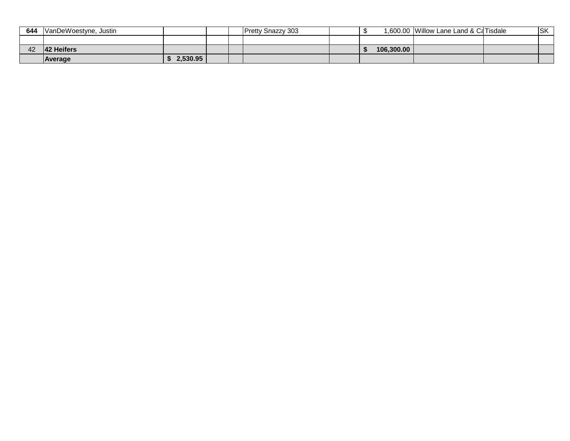| 644 | VanDeWoestyne, Justin |          |  | <b>Pretty Snazzy 303</b> |            | 1,600.00 Willow Lane Land & CaTisdale | <b>SK</b> |
|-----|-----------------------|----------|--|--------------------------|------------|---------------------------------------|-----------|
|     |                       |          |  |                          |            |                                       |           |
| 42  | <b>42 Heifers</b>     |          |  |                          | 106.300.00 |                                       |           |
|     | Average               | 2,530.95 |  |                          |            |                                       |           |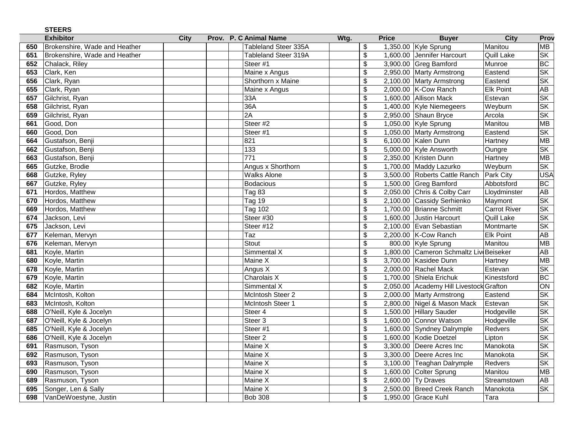|     | <b>STEERS</b>                 |      |       |                      |      |                          |                                         |                     |                          |
|-----|-------------------------------|------|-------|----------------------|------|--------------------------|-----------------------------------------|---------------------|--------------------------|
|     | <b>Exhibitor</b>              | City | Prov. | P. C Animal Name     | Wtg. | <b>Price</b>             | <b>Buyer</b>                            | <b>City</b>         | Prov                     |
| 650 | Brokenshire, Wade and Heather |      |       | Tableland Steer 335A |      | \$                       | 1,350.00 Kyle Sprung                    | Manitou             | <b>MB</b>                |
| 651 | Brokenshire, Wade and Heather |      |       | Tableland Steer 319A |      | \$                       | 1,600.00 Jennifer Harcourt              | Quill Lake          | SK                       |
| 652 | Chalack, Riley                |      |       | Steer #1             |      | \$                       | 3,900.00 Greg Bamford                   | Munroe              | BC                       |
| 653 | Clark, Ken                    |      |       | Maine x Angus        |      | \$                       | 2,950.00 Marty Armstrong                | Eastend             | $\overline{\mathsf{SK}}$ |
| 656 | Clark, Ryan                   |      |       | Shorthorn x Maine    |      | \$                       | 2,100.00 Marty Armstrong                | Eastend             | SK                       |
| 655 | Clark, Ryan                   |      |       | Maine x Angus        |      | \$                       | 2,000.00 K-Cow Ranch                    | Elk Point           | AB                       |
| 657 | Gilchrist, Ryan               |      |       | 33A                  |      | $\overline{\mathbf{3}}$  | 1,600.00 Allison Mack                   | Estevan             | $\overline{\text{SK}}$   |
| 658 | Gilchrist, Ryan               |      |       | 36A                  |      | \$                       | 1,400.00 Kyle Niemegeers                | Weyburn             | $\overline{\mathsf{SK}}$ |
| 659 | Gilchrist, Ryan               |      |       | 2A                   |      | \$                       | 2,950.00 Shaun Bryce                    | Arcola              | $\overline{\text{SK}}$   |
| 661 | Good, Don                     |      |       | Steer #2             |      | \$                       | 1,050.00 Kyle Sprung                    | Manitou             | MB                       |
| 660 | Good, Don                     |      |       | Steer #1             |      | $\overline{\mathcal{G}}$ | 1,050.00 Marty Armstrong                | Eastend             | SK                       |
| 664 | Gustafson, Benji              |      |       | 821                  |      | \$                       | 6,100.00 Kalen Dunn                     | Hartney             | <b>MB</b>                |
| 662 | Gustafson, Benji              |      |       | 133                  |      | $\overline{\mathcal{S}}$ | 5,000.00 Kyle Answorth                  | Oungre              | SK                       |
| 663 | Gustafson, Benji              |      |       | $\overline{771}$     |      | \$                       | 2,350.00 Kristen Dunn                   | Hartney             | MB                       |
| 665 | Gutzke, Brodie                |      |       | Angus x Shorthorn    |      | \$                       | 1,700.00 Maddy Lazurko                  | Weyburn             | SK                       |
| 668 | Gutzke, Ryley                 |      |       | <b>Walks Alone</b>   |      | $\overline{\mathcal{S}}$ | 3,500.00 Roberts Cattle Ranch           | <b>Park City</b>    | <b>USA</b>               |
| 667 | Gutzke, Ryley                 |      |       | <b>Bodacious</b>     |      | \$                       | 1,500.00 Greg Bamford                   | Abbotsford          | <b>BC</b>                |
| 671 | Hordos, Matthew               |      |       | Tag 83               |      | \$                       | 2,050.00 Chris & Colby Carr             | Lloydminster        | <b>AB</b>                |
| 670 | Hordos, Matthew               |      |       | Tag 19               |      | \$                       | 2,100.00 Cassidy Serhienko              | Maymont             | SK                       |
| 669 | Hordos, Matthew               |      |       | <b>Tag 102</b>       |      | \$                       | 1,700.00 Brianne Schmitt                | <b>Carrot River</b> | $\overline{\text{SK}}$   |
| 674 | Jackson, Levi                 |      |       | Steer #30            |      | $\overline{\mathcal{S}}$ | 1,600.00 Justin Harcourt                | <b>Quill Lake</b>   | SK                       |
| 675 | Jackson, Levi                 |      |       | Steer #12            |      | \$                       | 2,100.00 Evan Sebastian                 | Montmarte           | <b>SK</b>                |
| 677 | Keleman, Mervyn               |      |       | Taz                  |      | $\overline{\mathcal{S}}$ | 2,200.00 K-Cow Ranch                    | <b>Elk Point</b>    | $\overline{AB}$          |
| 676 | Keleman, Mervyn               |      |       | <b>Stout</b>         |      | \$                       | 800.00 Kyle Sprung                      | Manitou             | MB                       |
| 681 | Koyle, Martin                 |      |       | Simmental X          |      | \$                       | 1,800.00 Cameron Schmaltz Liv Beiseker  |                     | AB                       |
| 680 | Koyle, Martin                 |      |       | Maine X              |      | \$                       | 3,700.00 Kasidee Dunn                   | Hartney             | <b>MB</b>                |
| 678 | Koyle, Martin                 |      |       | Angus X              |      | $\overline{\mathbb{S}}$  | 2,000.00 Rachel Mack                    | Estevan             | <b>SK</b>                |
| 679 | Koyle, Martin                 |      |       | Charolais X          |      | \$                       | 1,700.00 Shiela Erichuk                 | Kinestsford         | <b>BC</b>                |
| 682 | Koyle, Martin                 |      |       | Simmental X          |      | \$                       | 2,050.00 Academy Hill Livestock Grafton |                     | $\overline{ON}$          |
| 684 | McIntosh, Kolton              |      |       | McIntosh Steer 2     |      | \$                       | 2,000.00 Marty Armstrong                | Eastend             | SK                       |
| 683 | McIntosh, Kolton              |      |       | McIntosh Steer 1     |      | \$                       | 2,800.00 Nigel & Mason Mack             | Estevan             | SK                       |
| 688 | O'Neill, Kyle & Jocelyn       |      |       | Steer 4              |      | \$                       | 1,500.00 Hillary Sauder                 | Hodgeville          | SK                       |
| 687 | O'Neill, Kyle & Jocelyn       |      |       | Steer 3              |      | $\overline{\mathcal{S}}$ | 1,600.00 Connor Watson                  | Hodgeville          | $\overline{\mathsf{SK}}$ |
| 685 | O'Neill, Kyle & Jocelyn       |      |       | Steer #1             |      | \$                       | 1,600.00 Syndney Dalrymple              | Redvers             | <b>SK</b>                |
| 686 | O'Neill, Kyle & Jocelyn       |      |       | Steer <sub>2</sub>   |      | \$                       | 1,600.00 Kodie Doetzel                  | Lipton              | $\overline{\mathsf{SK}}$ |
| 691 | Rasmuson, Tyson               |      |       | Maine X              |      | \$                       | 3,300.00 Deere Acres Inc                | Manokota            | SK                       |
| 692 | Rasmuson, Tyson               |      |       | Maine X              |      | \$                       | 3,300.00 Deere Acres Inc                | Manokota            | <b>SK</b>                |
| 693 | Rasmuson, Tyson               |      |       | Maine X              |      | \$                       | 3,100.00 Teaghan Dalrymple              | Redvers             | <b>SK</b>                |
| 690 | Rasmuson, Tyson               |      |       | Maine X              |      | \$                       | 1,600.00 Colter Sprung                  | Manitou             | <b>MB</b>                |
| 689 | Rasmuson, Tyson               |      |       | Maine X              |      | \$                       | 2,600.00 Ty Draves                      | Streamstown         | AB                       |
| 695 | Songer, Len & Sally           |      |       | Maine X              |      | $\overline{\mathcal{S}}$ | 2,500.00 Breed Creek Ranch              | Manokota            | SK                       |
| 698 | VanDeWoestyne, Justin         |      |       | <b>Bob 308</b>       |      | \$                       | 1,950.00 Grace Kuhl                     | Tara                |                          |